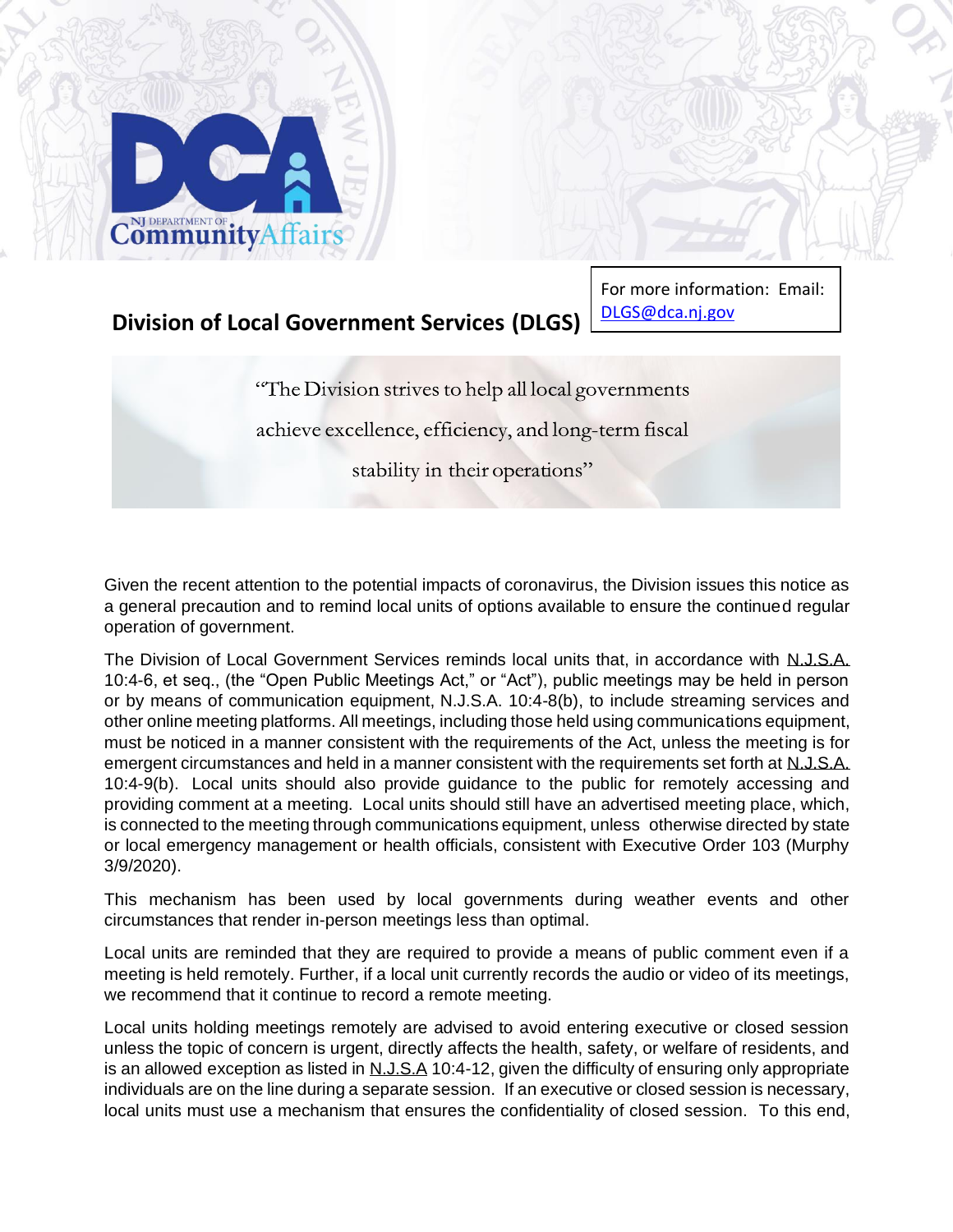

## **Division of Local Government Services (DLGS)**

For more information: Email: DLG[S@dca.nj.gov](mailto:LFB_FDS@dca.nj.gov)

"The Division strives to help all local governments"

achieve excellence, efficiency, and long-term fiscal

stability in their operations"

Given the recent attention to the potential impacts of coronavirus, the Division issues this notice as a general precaution and to remind local units of options available to ensure the continued regular operation of government.

The Division of Local Government Services reminds local units that, in accordance with N.J.S.A. 10:4-6, et seq., (the "Open Public Meetings Act," or "Act"), public meetings may be held in person or by means of communication equipment, N.J.S.A. 10:4-8(b), to include streaming services and other online meeting platforms. All meetings, including those held using communications equipment, must be noticed in a manner consistent with the requirements of the Act, unless the meeting is for emergent circumstances and held in a manner consistent with the requirements set forth at N.J.S.A. 10:4-9(b). Local units should also provide guidance to the public for remotely accessing and providing comment at a meeting. Local units should still have an advertised meeting place, which, is connected to the meeting through communications equipment, unless otherwise directed by state or local emergency management or health officials, consistent with Executive Order 103 (Murphy 3/9/2020).

This mechanism has been used by local governments during weather events and other circumstances that render in-person meetings less than optimal.

Local units are reminded that they are required to provide a means of public comment even if a meeting is held remotely. Further, if a local unit currently records the audio or video of its meetings, we recommend that it continue to record a remote meeting.

Local units holding meetings remotely are advised to avoid entering executive or closed session unless the topic of concern is urgent, directly affects the health, safety, or welfare of residents, and is an allowed exception as listed in N.J.S.A 10:4-12, given the difficulty of ensuring only appropriate individuals are on the line during a separate session. If an executive or closed session is necessary, local units must use a mechanism that ensures the confidentiality of closed session. To this end,